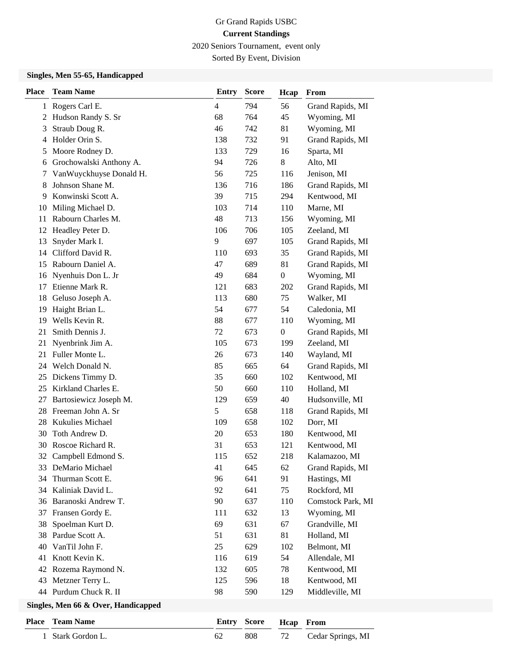2020 Seniors Tournament, event only

Sorted By Event, Division

## **Singles, Men 55-65, Handicapped**

| <b>Place</b> | <b>Team Name</b>                    | <b>Entry</b>   | <b>Score</b> | Hcap             | From              |
|--------------|-------------------------------------|----------------|--------------|------------------|-------------------|
|              | 1 Rogers Carl E.                    | $\overline{4}$ | 794          | 56               | Grand Rapids, MI  |
| 2            | Hudson Randy S. Sr                  | 68             | 764          | 45               | Wyoming, MI       |
| 3            | Straub Doug R.                      | 46             | 742          | 81               | Wyoming, MI       |
| 4            | Holder Orin S.                      | 138            | 732          | 91               | Grand Rapids, MI  |
| 5            | Moore Rodney D.                     | 133            | 729          | 16               | Sparta, MI        |
| 6            | Grochowalski Anthony A.             | 94             | 726          | 8                | Alto, MI          |
| 7            | VanWuyckhuyse Donald H.             | 56             | 725          | 116              | Jenison, MI       |
| 8            | Johnson Shane M.                    | 136            | 716          | 186              | Grand Rapids, MI  |
| 9            | Konwinski Scott A.                  | 39             | 715          | 294              | Kentwood, MI      |
| 10           | Miling Michael D.                   | 103            | 714          | 110              | Marne, MI         |
| 11           | Rabourn Charles M.                  | 48             | 713          | 156              | Wyoming, MI       |
| 12           | Headley Peter D.                    | 106            | 706          | 105              | Zeeland, MI       |
| 13           | Snyder Mark I.                      | 9              | 697          | 105              | Grand Rapids, MI  |
| 14           | Clifford David R.                   | 110            | 693          | 35               | Grand Rapids, MI  |
| 15           | Rabourn Daniel A.                   | 47             | 689          | 81               | Grand Rapids, MI  |
| 16           | Nyenhuis Don L. Jr                  | 49             | 684          | $\boldsymbol{0}$ | Wyoming, MI       |
| 17           | Etienne Mark R.                     | 121            | 683          | 202              | Grand Rapids, MI  |
| 18           | Geluso Joseph A.                    | 113            | 680          | 75               | Walker, MI        |
| 19           | Haight Brian L.                     | 54             | 677          | 54               | Caledonia, MI     |
| 19           | Wells Kevin R.                      | 88             | 677          | 110              | Wyoming, MI       |
| 21           | Smith Dennis J.                     | 72             | 673          | $\boldsymbol{0}$ | Grand Rapids, MI  |
| 21           | Nyenbrink Jim A.                    | 105            | 673          | 199              | Zeeland, MI       |
| 21           | Fuller Monte L.                     | 26             | 673          | 140              | Wayland, MI       |
|              | 24 Welch Donald N.                  | 85             | 665          | 64               | Grand Rapids, MI  |
| 25           | Dickens Timmy D.                    | 35             | 660          | 102              | Kentwood, MI      |
| 25           | Kirkland Charles E.                 | 50             | 660          | 110              | Holland, MI       |
| 27           | Bartosiewicz Joseph M.              | 129            | 659          | 40               | Hudsonville, MI   |
| 28           | Freeman John A. Sr                  | 5              | 658          | 118              | Grand Rapids, MI  |
| 28           | Kukulies Michael                    | 109            | 658          | 102              | Dorr, MI          |
| 30           | Toth Andrew D.                      | 20             | 653          | 180              | Kentwood, MI      |
| 30           | Roscoe Richard R.                   | 31             | 653          | 121              | Kentwood, MI      |
| 32           | Campbell Edmond S.                  | 115            | 652          | 218              | Kalamazoo, MI     |
|              | 33 DeMario Michael                  | 41             | 645          | 62               | Grand Rapids, MI  |
| 34           | Thurman Scott E.                    | 96             | 641          | 91               | Hastings, MI      |
| 34           | Kaliniak David L.                   | 92             | 641          | 75               | Rockford, MI      |
| 36           | Baranoski Andrew T.                 | 90             | 637          | 110              | Comstock Park, MI |
| 37           | Fransen Gordy E.                    | 111            | 632          | 13               | Wyoming, MI       |
| 38           | Spoelman Kurt D.                    | 69             | 631          | 67               | Grandville, MI    |
| 38           | Pardue Scott A.                     | 51             | 631          | 81               | Holland, MI       |
| 40           | VanTil John F.                      | 25             | 629          | 102              | Belmont, MI       |
| 41           | Knott Kevin K.                      | 116            | 619          | 54               | Allendale, MI     |
| 42           | Rozema Raymond N.                   | 132            | 605          | 78               | Kentwood, MI      |
| 43           | Metzner Terry L.                    | 125            | 596          | 18               | Kentwood, MI      |
|              | 44 Purdum Chuck R. II               | 98             | 590          | 129              | Middleville, MI   |
|              | Singles, Men 66 & Over, Handicapped |                |              |                  |                   |

| <b>Place</b> Team Name | Entry Score Heap From |                      |
|------------------------|-----------------------|----------------------|
| 1 Stark Gordon L.      | 808                   | 72 Cedar Springs, MI |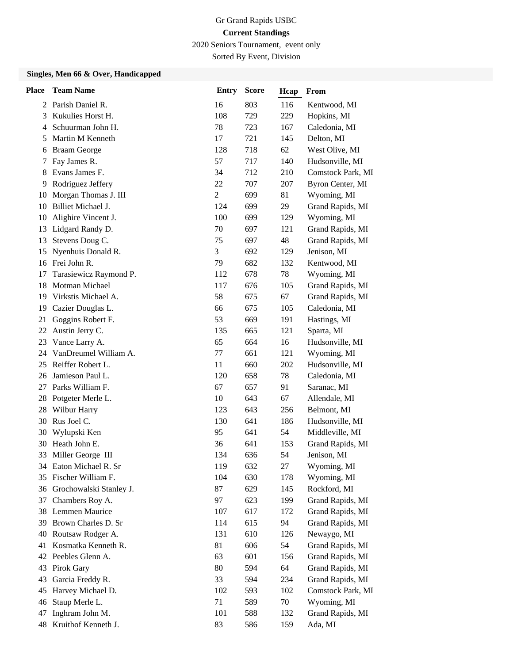2020 Seniors Tournament, event only

Sorted By Event, Division

#### **Singles, Men 66 & Over, Handicapped**

| <b>Place</b> | <b>Team Name</b>        | <b>Entry</b>     | <b>Score</b> | Hcap | From              |
|--------------|-------------------------|------------------|--------------|------|-------------------|
|              | 2 Parish Daniel R.      | 16               | 803          | 116  | Kentwood, MI      |
| 3            | Kukulies Horst H.       | 108              | 729          | 229  | Hopkins, MI       |
| 4            | Schuurman John H.       | 78               | 723          | 167  | Caledonia, MI     |
| 5            | Martin M Kenneth        | 17               | 721          | 145  | Delton, MI        |
| 6            | <b>Braam George</b>     | 128              | 718          | 62   | West Olive, MI    |
| 7            | Fay James R.            | 57               | 717          | 140  | Hudsonville, MI   |
| 8            | Evans James F.          | 34               | 712          | 210  | Comstock Park, MI |
| 9            | Rodriguez Jeffery       | 22               | 707          | 207  | Byron Center, MI  |
| 10           | Morgan Thomas J. III    | $\boldsymbol{2}$ | 699          | 81   | Wyoming, MI       |
| 10           | Billiet Michael J.      | 124              | 699          | 29   | Grand Rapids, MI  |
| 10           | Alighire Vincent J.     | 100              | 699          | 129  | Wyoming, MI       |
| 13           | Lidgard Randy D.        | 70               | 697          | 121  | Grand Rapids, MI  |
| 13           | Stevens Doug C.         | 75               | 697          | 48   | Grand Rapids, MI  |
| 15           | Nyenhuis Donald R.      | 3                | 692          | 129  | Jenison, MI       |
| 16           | Frei John R.            | 79               | 682          | 132  | Kentwood, MI      |
| 17           | Tarasiewicz Raymond P.  | 112              | 678          | 78   | Wyoming, MI       |
| 18           | Motman Michael          | 117              | 676          | 105  | Grand Rapids, MI  |
| 19           | Virkstis Michael A.     | 58               | 675          | 67   | Grand Rapids, MI  |
| 19           | Cazier Douglas L.       | 66               | 675          | 105  | Caledonia, MI     |
| 21           | Goggins Robert F.       | 53               | 669          | 191  | Hastings, MI      |
| 22           | Austin Jerry C.         | 135              | 665          | 121  | Sparta, MI        |
| 23           | Vance Larry A.          | 65               | 664          | 16   | Hudsonville, MI   |
| 24           | VanDreumel William A.   | 77               | 661          | 121  | Wyoming, MI       |
| 25           | Reiffer Robert L.       | 11               | 660          | 202  | Hudsonville, MI   |
| 26           | Jamieson Paul L.        | 120              | 658          | 78   | Caledonia, MI     |
| 27           | Parks William F.        | 67               | 657          | 91   | Saranac, MI       |
| 28           | Potgeter Merle L.       | 10               | 643          | 67   | Allendale, MI     |
| 28           | Wilbur Harry            | 123              | 643          | 256  | Belmont, MI       |
| 30           | Rus Joel C.             | 130              | 641          | 186  | Hudsonville, MI   |
| 30           | Wylupski Ken            | 95               | 641          | 54   | Middleville, MI   |
| 30           | Heath John E.           | 36               | 641          | 153  | Grand Rapids, MI  |
| 33           | Miller George III       | 134              | 636          | 54   | Jenison, MI       |
|              | 34 Eaton Michael R. Sr  | 119              | 632          | 27   | Wyoming, MI       |
|              | 35 Fischer William F.   | 104              | 630          | 178  | Wyoming, MI       |
| 36           | Grochowalski Stanley J. | 87               | 629          | 145  | Rockford, MI      |
| 37           | Chambers Roy A.         | 97               | 623          | 199  | Grand Rapids, MI  |
| 38           | Lemmen Maurice          | 107              | 617          | 172  | Grand Rapids, MI  |
| 39           | Brown Charles D. Sr     | 114              | 615          | 94   | Grand Rapids, MI  |
| 40           | Routsaw Rodger A.       | 131              | 610          | 126  | Newaygo, MI       |
| 41           | Kosmatka Kenneth R.     | 81               | 606          | 54   | Grand Rapids, MI  |
|              | 42 Peebles Glenn A.     | 63               | 601          | 156  | Grand Rapids, MI  |
| 43           | Pirok Gary              | 80               | 594          | 64   | Grand Rapids, MI  |
| 43           | Garcia Freddy R.        | 33               | 594          | 234  | Grand Rapids, MI  |
| 45           | Harvey Michael D.       | 102              | 593          | 102  | Comstock Park, MI |
| 46           | Staup Merle L.          | 71               | 589          | 70   | Wyoming, MI       |
| 47           | Inghram John M.         | 101              | 588          | 132  | Grand Rapids, MI  |
| 48           | Kruithof Kenneth J.     | 83               | 586          | 159  | Ada, MI           |
|              |                         |                  |              |      |                   |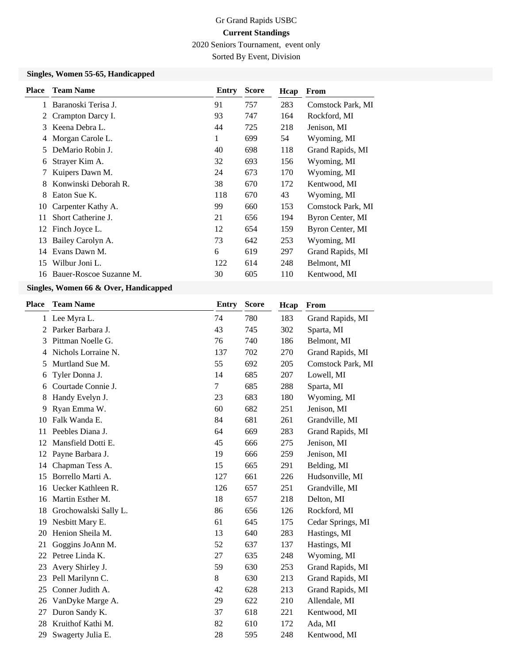2020 Seniors Tournament, event only

Sorted By Event, Division

#### **Singles, Women 55-65, Handicapped**

| <b>Place</b> | <b>Team Name</b>        | Entry | <b>Score</b> | Hcap | From              |
|--------------|-------------------------|-------|--------------|------|-------------------|
|              | Baranoski Terisa J.     | 91    | 757          | 283  | Comstock Park, MI |
| 2            | Crampton Darcy I.       | 93    | 747          | 164  | Rockford, MI      |
| 3            | Keena Debra L.          | 44    | 725          | 218  | Jenison, MI       |
| 4            | Morgan Carole L.        | 1     | 699          | 54   | Wyoming, MI       |
| 5            | DeMario Robin J.        | 40    | 698          | 118  | Grand Rapids, MI  |
| 6            | Strayer Kim A.          | 32    | 693          | 156  | Wyoming, MI       |
| 7            | Kuipers Dawn M.         | 24    | 673          | 170  | Wyoming, MI       |
| 8            | Konwinski Deborah R.    | 38    | 670          | 172  | Kentwood, MI      |
| 8            | Eaton Sue K.            | 118   | 670          | 43   | Wyoming, MI       |
| 10           | Carpenter Kathy A.      | 99    | 660          | 153  | Comstock Park, MI |
| 11           | Short Catherine J.      | 21    | 656          | 194  | Byron Center, MI  |
| 12           | Finch Joyce L.          | 12    | 654          | 159  | Byron Center, MI  |
| 13           | Bailey Carolyn A.       | 73    | 642          | 253  | Wyoming, MI       |
| 14           | Evans Dawn M.           | 6     | 619          | 297  | Grand Rapids, MI  |
| 15           | Wilbur Joni L.          | 122   | 614          | 248  | Belmont, MI       |
| 16           | Bauer-Roscoe Suzanne M. | 30    | 605          | 110  | Kentwood, MI      |
|              |                         |       |              |      |                   |

# **Singles, Women 66 & Over, Handicapped**

| <b>Place</b> | <b>Team Name</b>      | <b>Entry</b> | <b>Score</b> | Hcap | From              |
|--------------|-----------------------|--------------|--------------|------|-------------------|
|              | 1 Lee Myra L.         | 74           | 780          | 183  | Grand Rapids, MI  |
| 2            | Parker Barbara J.     | 43           | 745          | 302  | Sparta, MI        |
| 3            | Pittman Noelle G.     | 76           | 740          | 186  | Belmont, MI       |
| 4            | Nichols Lorraine N.   | 137          | 702          | 270  | Grand Rapids, MI  |
| 5            | Murtland Sue M.       | 55           | 692          | 205  | Comstock Park, MI |
| 6            | Tyler Donna J.        | 14           | 685          | 207  | Lowell, MI        |
| 6            | Courtade Connie J.    | 7            | 685          | 288  | Sparta, MI        |
| 8            | Handy Evelyn J.       | 23           | 683          | 180  | Wyoming, MI       |
| 9            | Ryan Emma W.          | 60           | 682          | 251  | Jenison, MI       |
| 10           | Falk Wanda E.         | 84           | 681          | 261  | Grandville, MI    |
| 11           | Peebles Diana J.      | 64           | 669          | 283  | Grand Rapids, MI  |
| 12           | Mansfield Dotti E.    | 45           | 666          | 275  | Jenison, MI       |
| 12           | Payne Barbara J.      | 19           | 666          | 259  | Jenison, MI       |
| 14           | Chapman Tess A.       | 15           | 665          | 291  | Belding, MI       |
| 15           | Borrello Marti A.     | 127          | 661          | 226  | Hudsonville, MI   |
| 16           | Uecker Kathleen R.    | 126          | 657          | 251  | Grandville, MI    |
| 16           | Martin Esther M.      | 18           | 657          | 218  | Delton, MI        |
| 18           | Grochowalski Sally L. | 86           | 656          | 126  | Rockford, MI      |
| 19           | Nesbitt Mary E.       | 61           | 645          | 175  | Cedar Springs, MI |
| 20           | Henion Sheila M.      | 13           | 640          | 283  | Hastings, MI      |
| 21           | Goggins JoAnn M.      | 52           | 637          | 137  | Hastings, MI      |
| 22           | Petree Linda K.       | 27           | 635          | 248  | Wyoming, MI       |
| 23           | Avery Shirley J.      | 59           | 630          | 253  | Grand Rapids, MI  |
| 23           | Pell Marilynn C.      | 8            | 630          | 213  | Grand Rapids, MI  |
| 25           | Conner Judith A.      | 42           | 628          | 213  | Grand Rapids, MI  |
| 26           | VanDyke Marge A.      | 29           | 622          | 210  | Allendale, MI     |
| 27           | Duron Sandy K.        | 37           | 618          | 221  | Kentwood, MI      |
| 28           | Kruithof Kathi M.     | 82           | 610          | 172  | Ada, MI           |
| 29           | Swagerty Julia E.     | 28           | 595          | 248  | Kentwood, MI      |